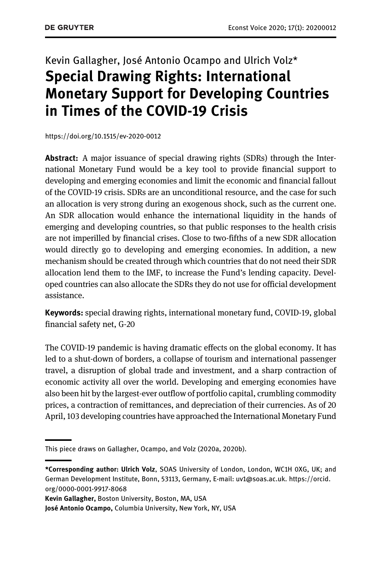## Kevin Gallagher, José Antonio Ocampo and Ulrich Volz\* Special Drawing Rights: International Monetary Support for Developing Countries in Times of the COVID-19 Crisis

<https://doi.org/10.1515/ev-2020-0012>

**Abstract:** A major issuance of special drawing rights (SDRs) through the International Monetary Fund would be a key tool to provide financial support to developing and emerging economies and limit the economic and financial fallout of the COVID-19 crisis. SDRs are an unconditional resource, and the case for such an allocation is very strong during an exogenous shock, such as the current one. An SDR allocation would enhance the international liquidity in the hands of emerging and developing countries, so that public responses to the health crisis are not imperilled by financial crises. Close to two-fifths of a new SDR allocation would directly go to developing and emerging economies. In addition, a new mechanism should be created through which countries that do not need their SDR allocation lend them to the IMF, to increase the Fund's lending capacity. Developed countries can also allocate the SDRs they do not use for official development assistance.

Keywords: special drawing rights, international monetary fund, COVID-19, global financial safety net, G-20

The COVID-19 pandemic is having dramatic effects on the global economy. It has led to a shut-down of borders, a collapse of tourism and international passenger travel, a disruption of global trade and investment, and a sharp contraction of economic activity all over the world. Developing and emerging economies have also been hit by the largest-ever outflow of portfolio capital, crumbling commodity prices, a contraction of remittances, and depreciation of their currencies. As of 20 April, 103 developing countries have approached the International Monetary Fund

This piece draws on [Gallagher, Ocampo, and Volz \(2020a, 2020b\)](#page-4-0).

<sup>\*</sup>Corresponding author: Ulrich Volz, SOAS University of London, London, WC1H 0XG, UK; and German Development Institute, Bonn, 53113, Germany, E-mail: [uv1@soas.ac.uk](mailto:uv1@soas.ac.uk). [https://orcid.](https://orcid.org/0000-0001-9917-8068) [org/0000-0001-9917-8068](https://orcid.org/0000-0001-9917-8068)

Kevin Gallagher, Boston University, Boston, MA, USA

José Antonio Ocampo, Columbia University, New York, NY, USA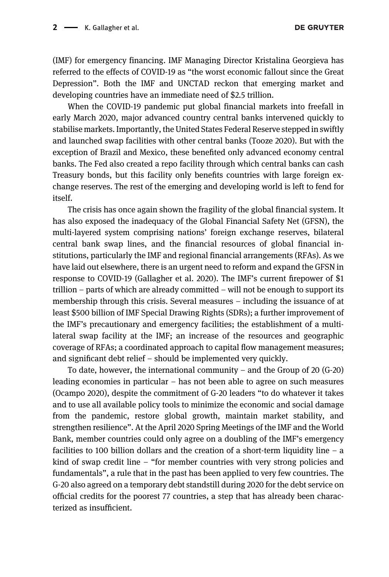**DE GRUYTER** 

(IMF) for emergency financing. IMF Managing Director Kristalina Georgieva has referred to the effects of COVID-19 as "the worst economic fallout since the Great Depression". Both the IMF and UNCTAD reckon that emerging market and developing countries have an immediate need of \$2.5 trillion.

When the COVID-19 pandemic put global financial markets into freefall in early March 2020, major advanced country central banks intervened quickly to stabilise markets. Importantly, the United States Federal Reserve stepped in swiftly and launched swap facilities with other central banks [\(Tooze 2020\)](#page-5-0). But with the exception of Brazil and Mexico, these benefited only advanced economy central banks. The Fed also created a repo facility through which central banks can cash Treasury bonds, but this facility only benefits countries with large foreign exchange reserves. The rest of the emerging and developing world is left to fend for itself.

The crisis has once again shown the fragility of the global financial system. It has also exposed the inadequacy of the Global Financial Safety Net (GFSN), the multi-layered system comprising nations' foreign exchange reserves, bilateral central bank swap lines, and the financial resources of global financial institutions, particularly the IMF and regional financial arrangements (RFAs). As we have laid out elsewhere, there is an urgent need to reform and expand the GFSN in response to COVID-19 [\(Gallagher et al. 2020](#page-4-1)). The IMF's current firepower of \$1 trillion – parts of which are already committed – will not be enough to support its membership through this crisis. Several measures – including the issuance of at least \$500 billion of IMF Special Drawing Rights (SDRs); a further improvement of the IMF's precautionary and emergency facilities; the establishment of a multilateral swap facility at the IMF; an increase of the resources and geographic coverage of RFAs; a coordinated approach to capital flow management measures; and significant debt relief – should be implemented very quickly.

To date, however, the international community – and the Group of 20 (G-20) leading economies in particular – has not been able to agree on such measures ([Ocampo 2020\)](#page-5-1), despite the commitment of G-20 leaders "to do whatever it takes and to use all available policy tools to minimize the economic and social damage from the pandemic, restore global growth, maintain market stability, and strengthen resilience". At the April 2020 Spring Meetings of the IMF and the World Bank, member countries could only agree on a doubling of the IMF's emergency facilities to 100 billion dollars and the creation of a short-term liquidity line  $-$  a kind of swap credit line – "for member countries with very strong policies and fundamentals", a rule that in the past has been applied to very few countries. The G-20 also agreed on a temporary debt standstill during 2020 for the debt service on official credits for the poorest 77 countries, a step that has already been characterized as insufficient.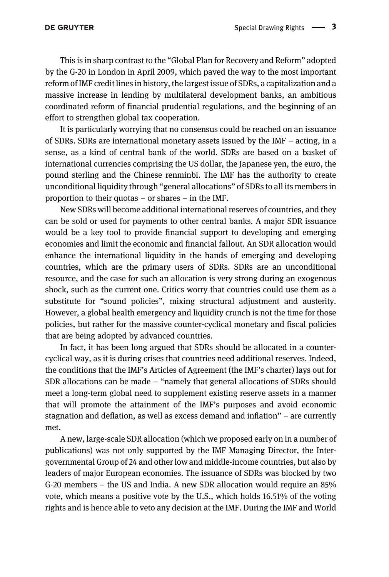This is in sharp contrast to the "Global Plan for Recovery and Reform" adopted by the G-20 in London in April 2009, which paved the way to the most important reform of IMF credit lines in history, the largest issue of SDRs, a capitalization and a massive increase in lending by multilateral development banks, an ambitious coordinated reform of financial prudential regulations, and the beginning of an effort to strengthen global tax cooperation.

It is particularly worrying that no consensus could be reached on an issuance of SDRs. SDRs are international monetary assets issued by the IMF – acting, in a sense, as a kind of central bank of the world. SDRs are based on a basket of international currencies comprising the US dollar, the Japanese yen, the euro, the pound sterling and the Chinese renminbi. The IMF has the authority to create unconditional liquidity through "general allocations" of SDRs to all its members in proportion to their quotas – or shares – in the IMF.

New SDRs will become additional international reserves of countries, and they can be sold or used for payments to other central banks. A major SDR issuance would be a key tool to provide financial support to developing and emerging economies and limit the economic and financial fallout. An SDR allocation would enhance the international liquidity in the hands of emerging and developing countries, which are the primary users of SDRs. SDRs are an unconditional resource, and the case for such an allocation is very strong during an exogenous shock, such as the current one. Critics worry that countries could use them as a substitute for "sound policies", mixing structural adjustment and austerity. However, a global health emergency and liquidity crunch is not the time for those policies, but rather for the massive counter-cyclical monetary and fiscal policies that are being adopted by advanced countries.

In fact, it has been long argued that SDRs should be allocated in a countercyclical way, as it is during crises that countries need additional reserves. Indeed, the conditions that the IMF's Articles of Agreement (the IMF's charter) lays out for SDR allocations can be made – "namely that general allocations of SDRs should meet a long-term global need to supplement existing reserve assets in a manner that will promote the attainment of the IMF's purposes and avoid economic stagnation and deflation, as well as excess demand and inflation" – are currently met.

A new, large-scale SDR allocation (which we proposed early on in a number of publications) was not only supported by the IMF Managing Director, the Intergovernmental Group of 24 and other low and middle-income countries, but also by leaders of major European economies. The issuance of SDRs was blocked by two G-20 members – the US and India. A new SDR allocation would require an 85% vote, which means a positive vote by the U.S., which holds 16.51% of the voting rights and is hence able to veto any decision at the IMF. During the IMF and World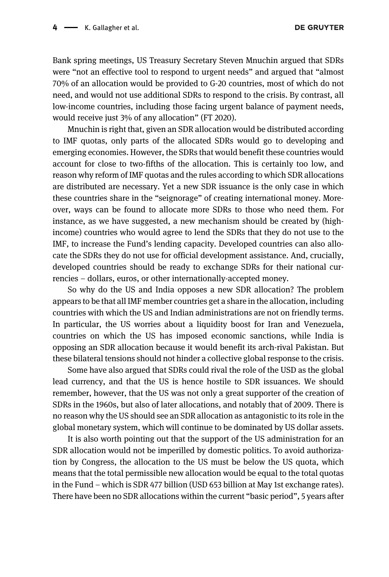DE GRUYTER

Bank spring meetings, US Treasury Secretary Steven Mnuchin argued that SDRs were "not an effective tool to respond to urgent needs" and argued that "almost 70% of an allocation would be provided to G-20 countries, most of which do not need, and would not use additional SDRs to respond to the crisis. By contrast, all low-income countries, including those facing urgent balance of payment needs, would receive just 3% of any allocation" ([FT 2020\)](#page-4-2).

Mnuchin is right that, given an SDR allocation would be distributed according to IMF quotas, only parts of the allocated SDRs would go to developing and emerging economies. However, the SDRs that would benefit these countries would account for close to two-fifths of the allocation. This is certainly too low, and reason why reform of IMF quotas and the rules according to which SDR allocations are distributed are necessary. Yet a new SDR issuance is the only case in which these countries share in the "seignorage" of creating international money. Moreover, ways can be found to allocate more SDRs to those who need them. For instance, as we have suggested, a new mechanism should be created by (highincome) countries who would agree to lend the SDRs that they do not use to the IMF, to increase the Fund's lending capacity. Developed countries can also allocate the SDRs they do not use for official development assistance. And, crucially, developed countries should be ready to exchange SDRs for their national currencies – dollars, euros, or other internationally-accepted money.

So why do the US and India opposes a new SDR allocation? The problem appears to be that all IMF member countries get a share in the allocation, including countries with which the US and Indian administrations are not on friendly terms. In particular, the US worries about a liquidity boost for Iran and Venezuela, countries on which the US has imposed economic sanctions, while India is opposing an SDR allocation because it would benefit its arch-rival Pakistan. But these bilateral tensions should not hinder a collective global response to the crisis.

Some have also argued that SDRs could rival the role of the USD as the global lead currency, and that the US is hence hostile to SDR issuances. We should remember, however, that the US was not only a great supporter of the creation of SDRs in the 1960s, but also of later allocations, and notably that of 2009. There is no reason why the US should see an SDR allocation as antagonistic to its role in the global monetary system, which will continue to be dominated by US dollar assets.

It is also worth pointing out that the support of the US administration for an SDR allocation would not be imperilled by domestic politics. To avoid authorization by Congress, the allocation to the US must be below the US quota, which means that the total permissible new allocation would be equal to the total quotas in the Fund – which is SDR 477 billion (USD 653 billion at May 1st exchange rates). There have been no SDR allocations within the current "basic period", 5 years after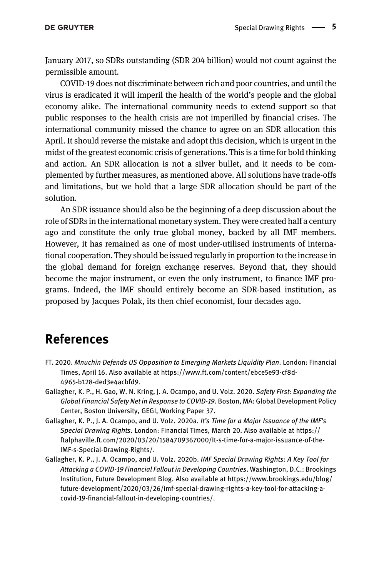January 2017, so SDRs outstanding (SDR 204 billion) would not count against the permissible amount.

COVID-19 does not discriminate between rich and poor countries, and until the virus is eradicated it will imperil the health of the world's people and the global economy alike. The international community needs to extend support so that public responses to the health crisis are not imperilled by financial crises. The international community missed the chance to agree on an SDR allocation this April. It should reverse the mistake and adopt this decision, which is urgent in the midst of the greatest economic crisis of generations. This is a time for bold thinking and action. An SDR allocation is not a silver bullet, and it needs to be complemented by further measures, as mentioned above. All solutions have trade-offs and limitations, but we hold that a large SDR allocation should be part of the solution.

An SDR issuance should also be the beginning of a deep discussion about the role of SDRs in the international monetary system. They were created half a century ago and constitute the only true global money, backed by all IMF members. However, it has remained as one of most under-utilised instruments of international cooperation. They should be issued regularly in proportion to the increase in the global demand for foreign exchange reserves. Beyond that, they should become the major instrument, or even the only instrument, to finance IMF programs. Indeed, the IMF should entirely become an SDR-based institution, as proposed by Jacques Polak, its then chief economist, four decades ago.

## References

- <span id="page-4-2"></span>FT. 2020. Mnuchin Defends US Opposition to Emerging Markets Liquidity Plan. London: Financial Times, April 16. Also available at [https://www.ft.com/content/ebce5e93-cf8d-](https://www.ft.com/content/ebce5e93-cf8d-4965-b128-ded3e4acbfd9)[4965-b128-ded3e4acbfd9.](https://www.ft.com/content/ebce5e93-cf8d-4965-b128-ded3e4acbfd9)
- <span id="page-4-1"></span>Gallagher, K. P., H. Gao, W. N. Kring, J. A. Ocampo, and U. Volz. 2020. Safety First: Expanding the Global Financial Safety Net in Response to COVID-19. Boston, MA: Global Development Policy Center, Boston University, GEGI, Working Paper 37.
- <span id="page-4-0"></span>Gallagher, K. P., J. A. Ocampo, and U. Volz. 2020a. It's Time for a Major Issuance of the IMF's Special Drawing Rights. London: Financial Times, March 20. Also available at [https://](https://ftalphaville.ft.com/2020/03/20/1584709367000/It-s-time-for-a-major-issuance-of-the-IMF-s-Special-Drawing-Rights/) [ftalphaville.ft.com/2020/03/20/1584709367000/It-s-time-for-a-major-issuance-of-the-](https://ftalphaville.ft.com/2020/03/20/1584709367000/It-s-time-for-a-major-issuance-of-the-IMF-s-Special-Drawing-Rights/)[IMF-s-Special-Drawing-Rights/.](https://ftalphaville.ft.com/2020/03/20/1584709367000/It-s-time-for-a-major-issuance-of-the-IMF-s-Special-Drawing-Rights/)
- Gallagher, K. P., J. A. Ocampo, and U. Volz. 2020b. IMF Special Drawing Rights: A Key Tool for Attacking a COVID-19 Financial Fallout in Developing Countries. Washington, D.C.: Brookings Institution, Future Development Blog. Also available at [https://www.brookings.edu/blog/](https://www.brookings.edu/blog/future-development/2020/03/26/imf-special-drawing-rights-a-key-tool-for-attacking-a-covid-19-financial-fallout-in-developing-countries/) [future-development/2020/03/26/imf-special-drawing-rights-a-key-tool-for-attacking-a](https://www.brookings.edu/blog/future-development/2020/03/26/imf-special-drawing-rights-a-key-tool-for-attacking-a-covid-19-financial-fallout-in-developing-countries/)covid-19-fi[nancial-fallout-in-developing-countries/.](https://www.brookings.edu/blog/future-development/2020/03/26/imf-special-drawing-rights-a-key-tool-for-attacking-a-covid-19-financial-fallout-in-developing-countries/)